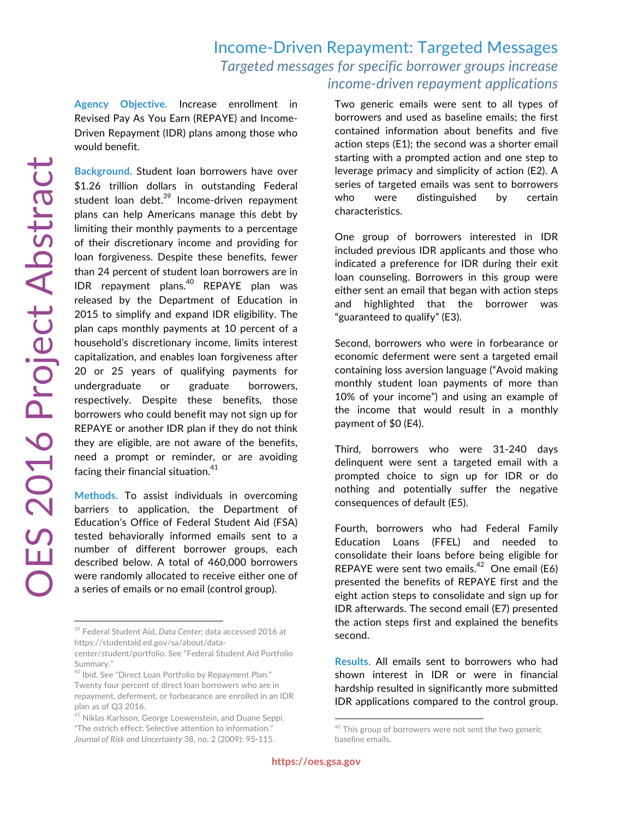## Income-Driven Repayment: Targeted Messages *Targeted messages for specific borrower groups increase income-driven repayment applications*

**Agency Objective.** Increase enrollment in Revised Pay As You Earn (REPAYE) and Income-Driven Repayment (IDR) plans among those who would benefit.

**Background.** Student loan borrowers have over \$1.26 trillion dollars in outstanding Federal student loan debt.<sup>39</sup> Income-driven repayment plans can help Americans manage this debt by limiting their monthly payments to a percentage of their discretionary income and providing for loan forgiveness. Despite these benefits, fewer than 24 percent of student loan borrowers are in IDR repayment plans.<sup>40</sup> REPAYE plan was released by the Department of Education in 2015 to simplify and expand IDR eligibility. The plan caps monthly payments at 10 percent of a household's discretionary income, limits interest capitalization, and enables loan forgiveness after 20 or 25 years of qualifying payments for undergraduate or graduate borrowers, respectively. Despite these benefits, those borrowers who could benefit may not sign up for REPAYE or another IDR plan if they do not think they are eligible, are not aware of the benefits, need a prompt or reminder, or are avoiding facing their financial situation. $41$ 

**Methods.** To assist individuals in overcoming barriers to application, the Department of Education's Office of Federal Student Aid (FSA) tested behaviorally informed emails sent to a number of different borrower groups, each described below. A total of 460,000 borrowers were randomly allocated to receive either one of a series of emails or no email (control group).

Two generic emails were sent to all types of borrowers and used as baseline emails; the first contained information about benefits and five action steps (E1); the second was a shorter email starting with a prompted action and one step to leverage primacy and simplicity of action (E2). A series of targeted emails was sent to borrowers who were distinguished by certain characteristics.

One group of borrowers interested in IDR included previous IDR applicants and those who indicated a preference for IDR during their exit loan counseling. Borrowers in this group were either sent an email that began with action steps and highlighted that the borrower was "guaranteed to qualify" (E3).

Second, borrowers who were in forbearance or economic deferment were sent a targeted email containing loss aversion language ("Avoid making monthly student loan payments of more than 10% of your income") and using an example of the income that would result in a monthly payment of \$0 (E4).

Third, borrowers who were 31-240 days delinquent were sent a targeted email with a prompted choice to sign up for IDR or do nothing and potentially suffer the negative consequences of default (E5).

Fourth, borrowers who had Federal Family Education Loans (FFEL) and needed to consolidate their loans before being eligible for REPAYE were sent two emails.<sup>42</sup> One email (E6) presented the benefits of REPAYE first and the eight action steps to consolidate and sign up for IDR afterwards. The second email (E7) presented the action steps first and explained the benefits second.

**Results.** All emails sent to borrowers who had shown interest in IDR or were in financial hardship resulted in significantly more submitted IDR applications compared to the control group.

<sup>39</sup> Federal Student Aid, *Data Center*; data accessed 2016 at https://studentaid.ed.gov/sa/about/data-

center/student/portfolio. See "Federal Student Aid Portfolio Summary."

<sup>&</sup>lt;sup>40</sup> Ibid. See "Direct Loan Portfolio by Repayment Plan." Twenty four percent of direct loan borrowers who are in repayment, deferment, or forbearance are enrolled in an IDR plan as of Q3 2016.

<sup>&</sup>lt;sup>41</sup> Niklas Karlsson, George Loewenstein, and Duane Seppi. "The ostrich effect: Selective attention to information." *Journal of Risk and Uncertainty* 38, no. 2 (2009): 95-115.

 $42$  This group of borrowers were not sent the two generic baseline emails.